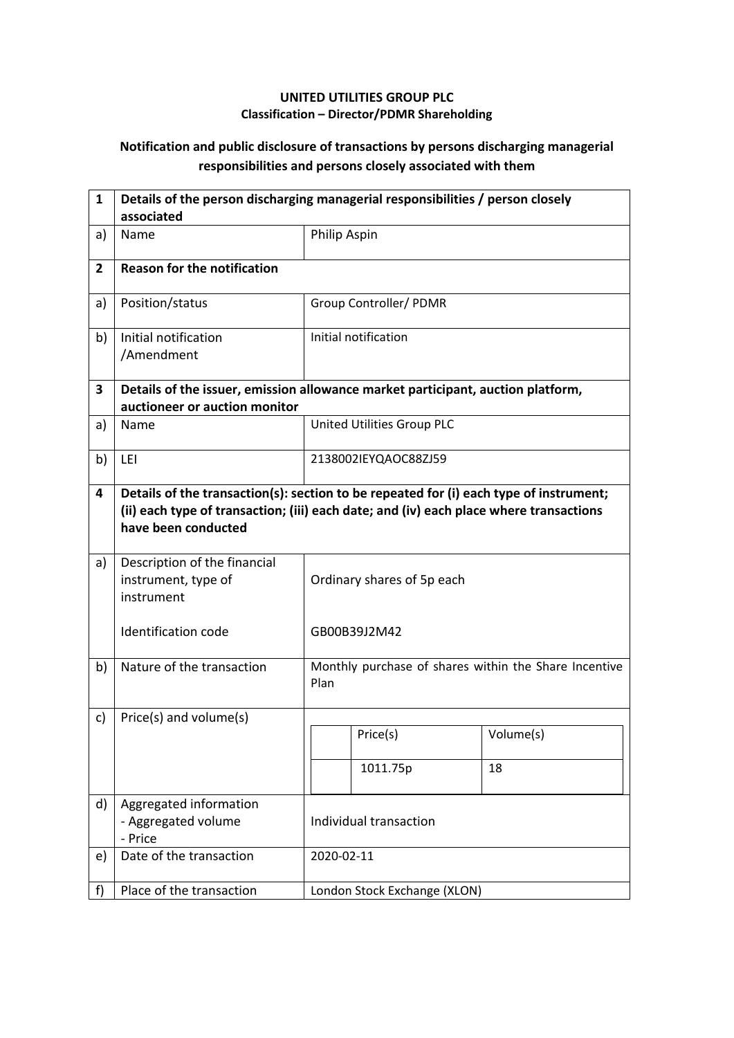## **UNITED UTILITIES GROUP PLC Classification – Director/PDMR Shareholding**

## **Notification and public disclosure of transactions by persons discharging managerial responsibilities and persons closely associated with them**

| $\mathbf{1}$   | Details of the person discharging managerial responsibilities / person closely<br>associated                     |                                                                                                                                                                                  |                              |                                                       |  |
|----------------|------------------------------------------------------------------------------------------------------------------|----------------------------------------------------------------------------------------------------------------------------------------------------------------------------------|------------------------------|-------------------------------------------------------|--|
| a)             | Name                                                                                                             | Philip Aspin                                                                                                                                                                     |                              |                                                       |  |
| $\overline{2}$ | <b>Reason for the notification</b>                                                                               |                                                                                                                                                                                  |                              |                                                       |  |
| a)             | Position/status                                                                                                  |                                                                                                                                                                                  | Group Controller/ PDMR       |                                                       |  |
| b)             | Initial notification<br>/Amendment                                                                               |                                                                                                                                                                                  | Initial notification         |                                                       |  |
| 3              | Details of the issuer, emission allowance market participant, auction platform,<br>auctioneer or auction monitor |                                                                                                                                                                                  |                              |                                                       |  |
| a)             | Name                                                                                                             |                                                                                                                                                                                  | United Utilities Group PLC   |                                                       |  |
| b)             | LEI                                                                                                              |                                                                                                                                                                                  | 2138002IEYQAOC88ZJ59         |                                                       |  |
| 4              | have been conducted                                                                                              | Details of the transaction(s): section to be repeated for (i) each type of instrument;<br>(ii) each type of transaction; (iii) each date; and (iv) each place where transactions |                              |                                                       |  |
| a)             | Description of the financial<br>instrument, type of<br>instrument                                                | Ordinary shares of 5p each                                                                                                                                                       |                              |                                                       |  |
|                | <b>Identification code</b>                                                                                       |                                                                                                                                                                                  | GB00B39J2M42                 |                                                       |  |
| b)             | Nature of the transaction                                                                                        | Plan                                                                                                                                                                             |                              | Monthly purchase of shares within the Share Incentive |  |
| c)             | Price(s) and volume(s)                                                                                           |                                                                                                                                                                                  |                              |                                                       |  |
|                |                                                                                                                  |                                                                                                                                                                                  | Price(s)                     | Volume(s)                                             |  |
|                |                                                                                                                  |                                                                                                                                                                                  | 1011.75p                     | 18                                                    |  |
| d)             | Aggregated information<br>- Aggregated volume<br>- Price                                                         | Individual transaction                                                                                                                                                           |                              |                                                       |  |
| e)             | Date of the transaction                                                                                          |                                                                                                                                                                                  | 2020-02-11                   |                                                       |  |
| f)             | Place of the transaction                                                                                         |                                                                                                                                                                                  | London Stock Exchange (XLON) |                                                       |  |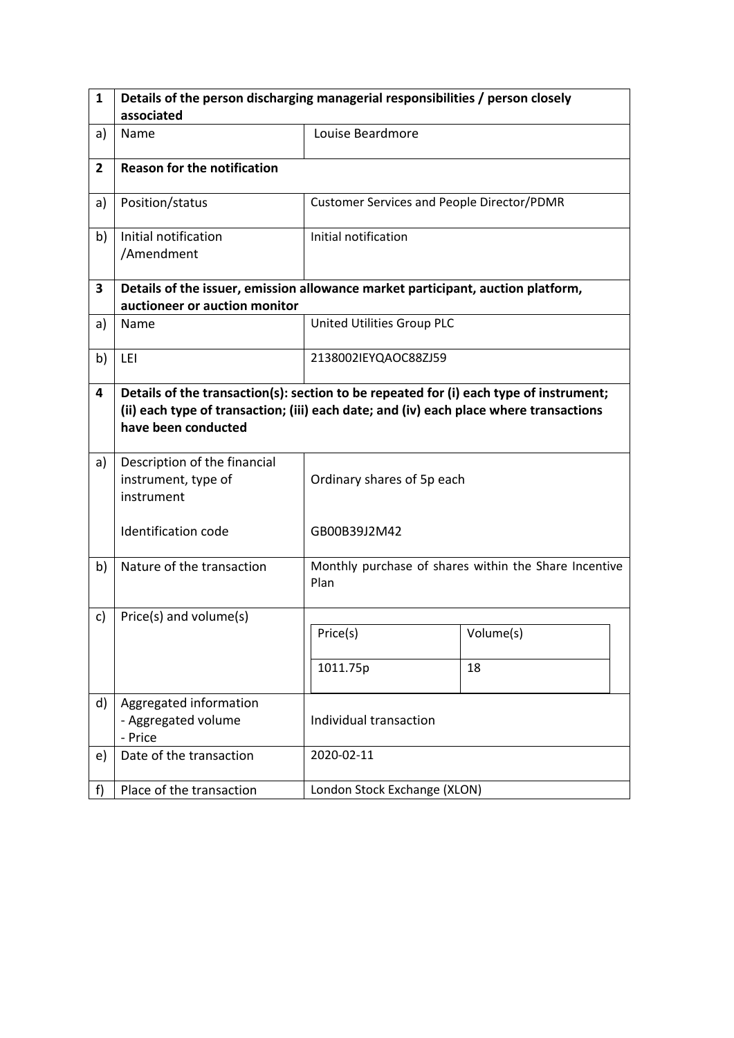| $\mathbf{1}$   | Details of the person discharging managerial responsibilities / person closely                                                                                                                          |                                            |                                                       |  |  |  |
|----------------|---------------------------------------------------------------------------------------------------------------------------------------------------------------------------------------------------------|--------------------------------------------|-------------------------------------------------------|--|--|--|
|                | associated                                                                                                                                                                                              |                                            |                                                       |  |  |  |
| a)             | Name                                                                                                                                                                                                    | Louise Beardmore                           |                                                       |  |  |  |
| $\overline{2}$ | <b>Reason for the notification</b>                                                                                                                                                                      |                                            |                                                       |  |  |  |
| a)             | Position/status                                                                                                                                                                                         | Customer Services and People Director/PDMR |                                                       |  |  |  |
| b)             | Initial notification<br>/Amendment                                                                                                                                                                      | Initial notification                       |                                                       |  |  |  |
| 3              | Details of the issuer, emission allowance market participant, auction platform,                                                                                                                         |                                            |                                                       |  |  |  |
|                | auctioneer or auction monitor                                                                                                                                                                           |                                            |                                                       |  |  |  |
| a)             | Name                                                                                                                                                                                                    | United Utilities Group PLC                 |                                                       |  |  |  |
| b)             | LEI                                                                                                                                                                                                     | 2138002IEYQAOC88ZJ59                       |                                                       |  |  |  |
| 4              | Details of the transaction(s): section to be repeated for (i) each type of instrument;<br>(ii) each type of transaction; (iii) each date; and (iv) each place where transactions<br>have been conducted |                                            |                                                       |  |  |  |
| a)             | Description of the financial<br>instrument, type of<br>instrument                                                                                                                                       | Ordinary shares of 5p each                 |                                                       |  |  |  |
|                | Identification code                                                                                                                                                                                     | GB00B39J2M42                               |                                                       |  |  |  |
| b)             | Nature of the transaction                                                                                                                                                                               | Plan                                       | Monthly purchase of shares within the Share Incentive |  |  |  |
| c)             | Price(s) and volume(s)                                                                                                                                                                                  |                                            |                                                       |  |  |  |
|                |                                                                                                                                                                                                         | Price(s)                                   | Volume(s)                                             |  |  |  |
|                |                                                                                                                                                                                                         | 1011.75p                                   | 18                                                    |  |  |  |
| d)             | Aggregated information<br>- Aggregated volume<br>- Price                                                                                                                                                | Individual transaction                     |                                                       |  |  |  |
| e)             | Date of the transaction                                                                                                                                                                                 | 2020-02-11                                 |                                                       |  |  |  |
| f              | Place of the transaction                                                                                                                                                                                | London Stock Exchange (XLON)               |                                                       |  |  |  |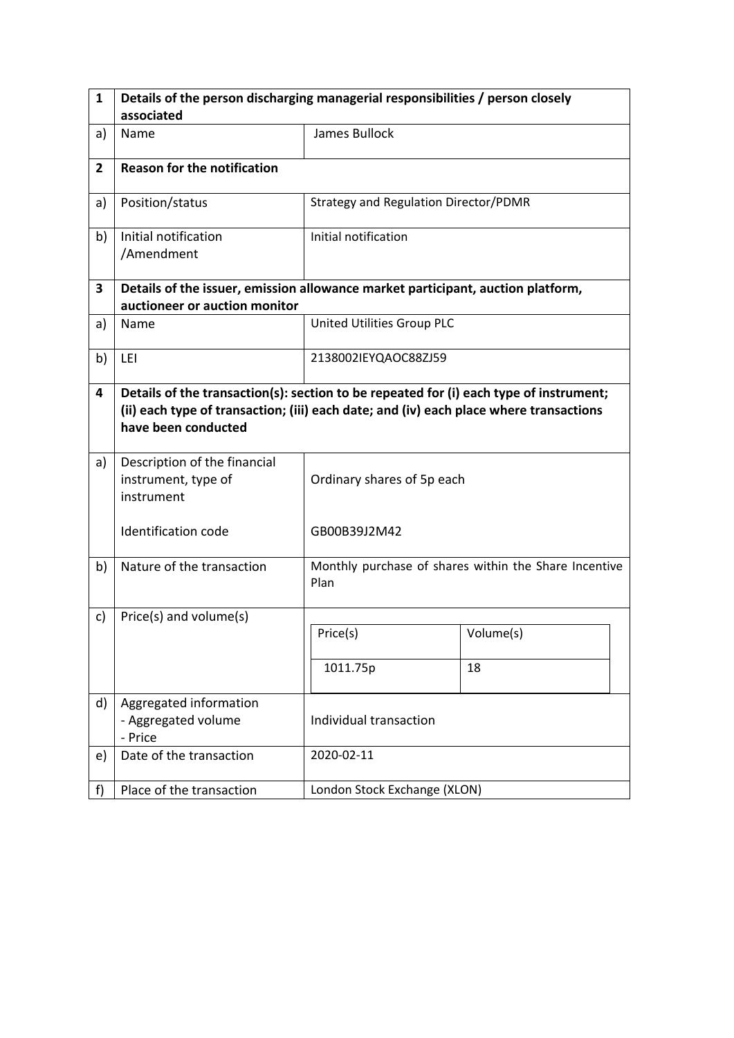| $\mathbf{1}$   | Details of the person discharging managerial responsibilities / person closely                                                                                                                          |                                       |                                                       |  |  |  |
|----------------|---------------------------------------------------------------------------------------------------------------------------------------------------------------------------------------------------------|---------------------------------------|-------------------------------------------------------|--|--|--|
|                | associated                                                                                                                                                                                              |                                       |                                                       |  |  |  |
| a)             | Name                                                                                                                                                                                                    | James Bullock                         |                                                       |  |  |  |
| $\overline{2}$ | <b>Reason for the notification</b>                                                                                                                                                                      |                                       |                                                       |  |  |  |
| a)             | Position/status                                                                                                                                                                                         | Strategy and Regulation Director/PDMR |                                                       |  |  |  |
| b)             | Initial notification<br>/Amendment                                                                                                                                                                      | Initial notification                  |                                                       |  |  |  |
| 3              | Details of the issuer, emission allowance market participant, auction platform,                                                                                                                         |                                       |                                                       |  |  |  |
|                | auctioneer or auction monitor                                                                                                                                                                           |                                       |                                                       |  |  |  |
| a)             | Name                                                                                                                                                                                                    | United Utilities Group PLC            |                                                       |  |  |  |
| b)             | LEI                                                                                                                                                                                                     | 2138002IEYQAOC88ZJ59                  |                                                       |  |  |  |
| 4              | Details of the transaction(s): section to be repeated for (i) each type of instrument;<br>(ii) each type of transaction; (iii) each date; and (iv) each place where transactions<br>have been conducted |                                       |                                                       |  |  |  |
| a)             | Description of the financial<br>instrument, type of<br>instrument                                                                                                                                       | Ordinary shares of 5p each            |                                                       |  |  |  |
|                | Identification code                                                                                                                                                                                     | GB00B39J2M42                          |                                                       |  |  |  |
| b)             | Nature of the transaction                                                                                                                                                                               | Plan                                  | Monthly purchase of shares within the Share Incentive |  |  |  |
| c)             | Price(s) and volume(s)                                                                                                                                                                                  |                                       |                                                       |  |  |  |
|                |                                                                                                                                                                                                         | Price(s)                              | Volume(s)                                             |  |  |  |
|                |                                                                                                                                                                                                         | 1011.75p                              | 18                                                    |  |  |  |
| d)             | Aggregated information<br>- Aggregated volume<br>- Price                                                                                                                                                | Individual transaction                |                                                       |  |  |  |
| e)             | Date of the transaction                                                                                                                                                                                 | 2020-02-11                            |                                                       |  |  |  |
| f              | Place of the transaction                                                                                                                                                                                | London Stock Exchange (XLON)          |                                                       |  |  |  |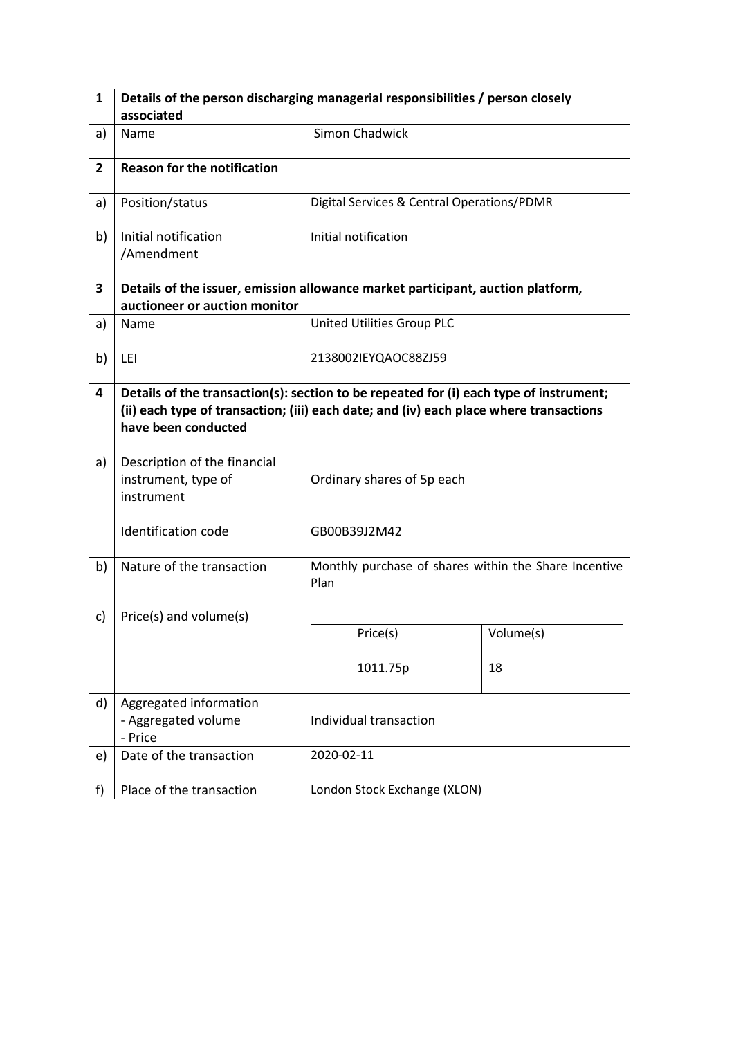| $\mathbf{1}$   | Details of the person discharging managerial responsibilities / person closely                                                                                                                          |                            |                                            |                                                       |  |
|----------------|---------------------------------------------------------------------------------------------------------------------------------------------------------------------------------------------------------|----------------------------|--------------------------------------------|-------------------------------------------------------|--|
|                | associated                                                                                                                                                                                              |                            |                                            |                                                       |  |
| a)             | Name                                                                                                                                                                                                    |                            | <b>Simon Chadwick</b>                      |                                                       |  |
| $\overline{2}$ | <b>Reason for the notification</b>                                                                                                                                                                      |                            |                                            |                                                       |  |
| a)             | Position/status                                                                                                                                                                                         |                            | Digital Services & Central Operations/PDMR |                                                       |  |
| b)             | Initial notification<br>/Amendment                                                                                                                                                                      |                            | Initial notification                       |                                                       |  |
| 3              | Details of the issuer, emission allowance market participant, auction platform,                                                                                                                         |                            |                                            |                                                       |  |
|                | auctioneer or auction monitor                                                                                                                                                                           |                            |                                            |                                                       |  |
| a)             | Name                                                                                                                                                                                                    |                            | United Utilities Group PLC                 |                                                       |  |
| b)             | LEI                                                                                                                                                                                                     |                            | 2138002IEYQAOC88ZJ59                       |                                                       |  |
| 4              | Details of the transaction(s): section to be repeated for (i) each type of instrument;<br>(ii) each type of transaction; (iii) each date; and (iv) each place where transactions<br>have been conducted |                            |                                            |                                                       |  |
| a)             | Description of the financial<br>instrument, type of<br>instrument                                                                                                                                       | Ordinary shares of 5p each |                                            |                                                       |  |
|                | Identification code                                                                                                                                                                                     |                            | GB00B39J2M42                               |                                                       |  |
| b)             | Nature of the transaction                                                                                                                                                                               | Plan                       |                                            | Monthly purchase of shares within the Share Incentive |  |
| c)             | Price(s) and volume(s)                                                                                                                                                                                  |                            |                                            |                                                       |  |
|                |                                                                                                                                                                                                         |                            | Price(s)                                   | Volume(s)                                             |  |
|                |                                                                                                                                                                                                         |                            | 1011.75p                                   | 18                                                    |  |
| d)             | Aggregated information<br>- Aggregated volume<br>- Price                                                                                                                                                | Individual transaction     |                                            |                                                       |  |
| e)             | Date of the transaction                                                                                                                                                                                 |                            | 2020-02-11                                 |                                                       |  |
| f              | Place of the transaction                                                                                                                                                                                |                            | London Stock Exchange (XLON)               |                                                       |  |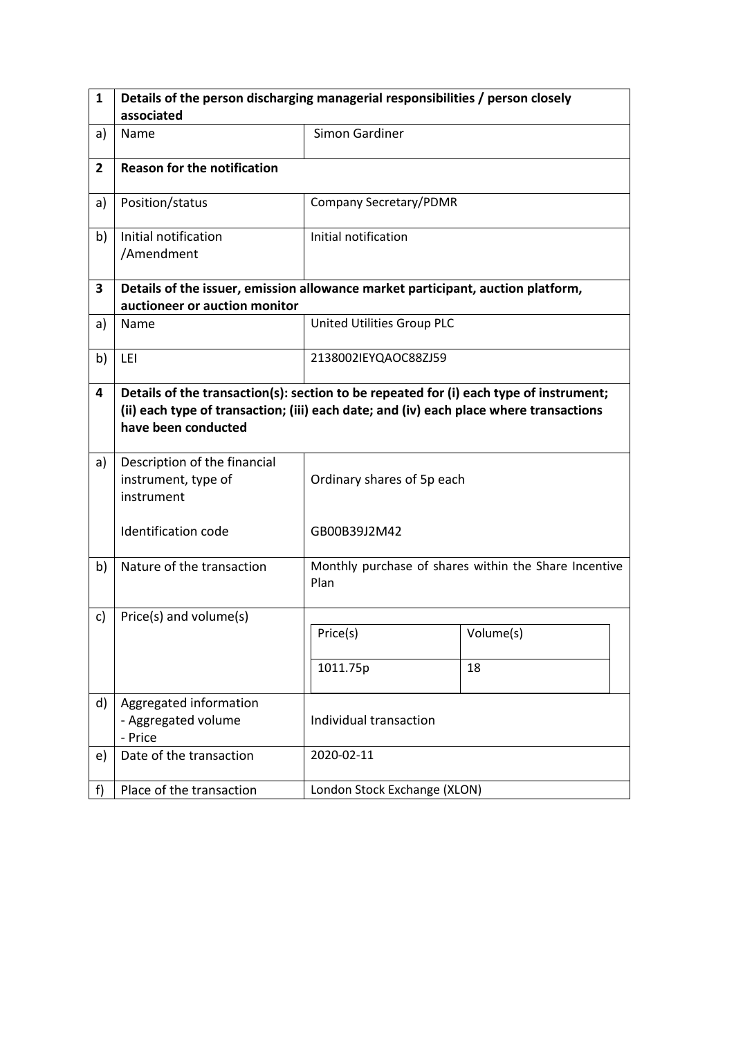| $\mathbf{1}$   | Details of the person discharging managerial responsibilities / person closely                                                                                                                          |                              |                                                       |  |  |  |
|----------------|---------------------------------------------------------------------------------------------------------------------------------------------------------------------------------------------------------|------------------------------|-------------------------------------------------------|--|--|--|
|                | associated                                                                                                                                                                                              |                              |                                                       |  |  |  |
| a)             | Name                                                                                                                                                                                                    | <b>Simon Gardiner</b>        |                                                       |  |  |  |
| $\overline{2}$ | <b>Reason for the notification</b>                                                                                                                                                                      |                              |                                                       |  |  |  |
| a)             | Position/status                                                                                                                                                                                         | Company Secretary/PDMR       |                                                       |  |  |  |
| b)             | Initial notification<br>/Amendment                                                                                                                                                                      | Initial notification         |                                                       |  |  |  |
| 3              | Details of the issuer, emission allowance market participant, auction platform,                                                                                                                         |                              |                                                       |  |  |  |
|                | auctioneer or auction monitor                                                                                                                                                                           |                              |                                                       |  |  |  |
| a)             | Name                                                                                                                                                                                                    | United Utilities Group PLC   |                                                       |  |  |  |
| b)             | LEI                                                                                                                                                                                                     | 2138002IEYQAOC88ZJ59         |                                                       |  |  |  |
| 4              | Details of the transaction(s): section to be repeated for (i) each type of instrument;<br>(ii) each type of transaction; (iii) each date; and (iv) each place where transactions<br>have been conducted |                              |                                                       |  |  |  |
| a)             | Description of the financial<br>instrument, type of<br>instrument                                                                                                                                       | Ordinary shares of 5p each   |                                                       |  |  |  |
|                | Identification code                                                                                                                                                                                     | GB00B39J2M42                 |                                                       |  |  |  |
| b)             | Nature of the transaction                                                                                                                                                                               | Plan                         | Monthly purchase of shares within the Share Incentive |  |  |  |
| c)             | Price(s) and volume(s)                                                                                                                                                                                  |                              |                                                       |  |  |  |
|                |                                                                                                                                                                                                         | Price(s)                     | Volume(s)                                             |  |  |  |
|                |                                                                                                                                                                                                         | 1011.75p                     | 18                                                    |  |  |  |
| d)             | Aggregated information<br>- Aggregated volume<br>- Price                                                                                                                                                | Individual transaction       |                                                       |  |  |  |
| e)             | Date of the transaction                                                                                                                                                                                 | 2020-02-11                   |                                                       |  |  |  |
| f              | Place of the transaction                                                                                                                                                                                | London Stock Exchange (XLON) |                                                       |  |  |  |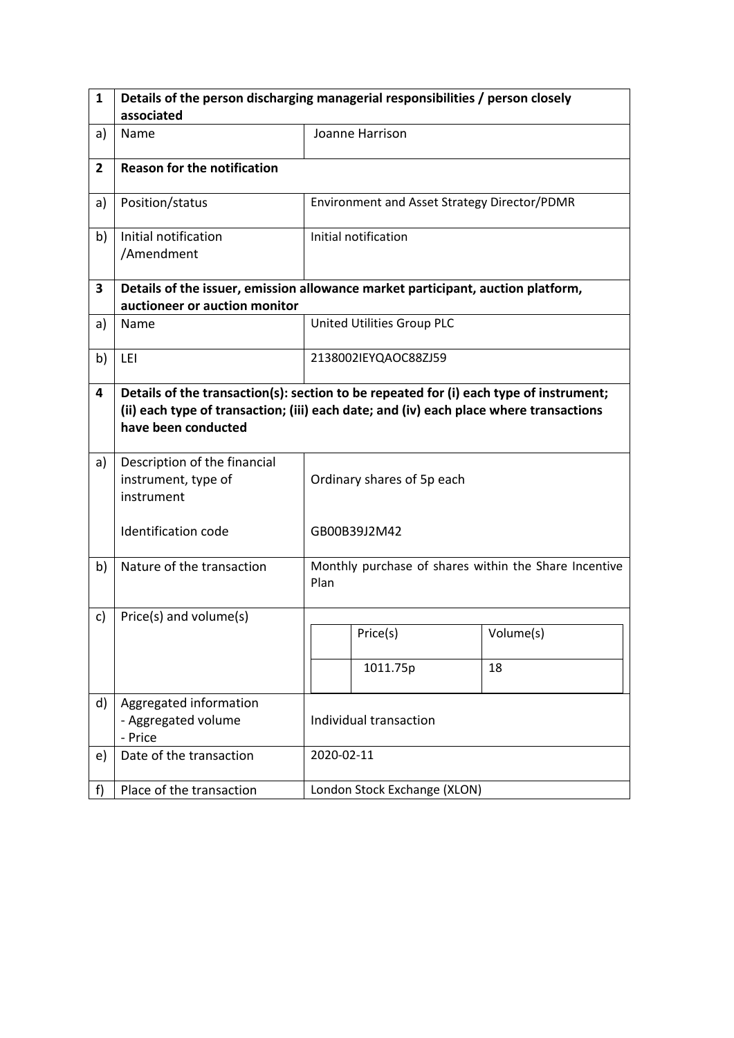| 1              | Details of the person discharging managerial responsibilities / person closely                                                                                                                          |                            |                                                       |           |  |
|----------------|---------------------------------------------------------------------------------------------------------------------------------------------------------------------------------------------------------|----------------------------|-------------------------------------------------------|-----------|--|
|                | associated                                                                                                                                                                                              |                            |                                                       |           |  |
| a)             | Name                                                                                                                                                                                                    |                            | Joanne Harrison                                       |           |  |
| $\overline{2}$ | <b>Reason for the notification</b>                                                                                                                                                                      |                            |                                                       |           |  |
| a)             | Position/status                                                                                                                                                                                         |                            | Environment and Asset Strategy Director/PDMR          |           |  |
| b)             | Initial notification<br>/Amendment                                                                                                                                                                      |                            | Initial notification                                  |           |  |
| 3              | Details of the issuer, emission allowance market participant, auction platform,                                                                                                                         |                            |                                                       |           |  |
|                | auctioneer or auction monitor                                                                                                                                                                           |                            |                                                       |           |  |
| a)             | Name                                                                                                                                                                                                    |                            | United Utilities Group PLC                            |           |  |
| b)             | LEI                                                                                                                                                                                                     | 2138002IEYQAOC88ZJ59       |                                                       |           |  |
| 4              | Details of the transaction(s): section to be repeated for (i) each type of instrument;<br>(ii) each type of transaction; (iii) each date; and (iv) each place where transactions<br>have been conducted |                            |                                                       |           |  |
| a)             | Description of the financial<br>instrument, type of<br>instrument                                                                                                                                       | Ordinary shares of 5p each |                                                       |           |  |
|                | <b>Identification code</b>                                                                                                                                                                              |                            | GB00B39J2M42                                          |           |  |
| b)             | Nature of the transaction                                                                                                                                                                               | Plan                       | Monthly purchase of shares within the Share Incentive |           |  |
| c)             | Price(s) and volume(s)                                                                                                                                                                                  |                            |                                                       |           |  |
|                |                                                                                                                                                                                                         |                            | Price(s)                                              | Volume(s) |  |
|                |                                                                                                                                                                                                         |                            | 1011.75p                                              | 18        |  |
| d)             | Aggregated information<br>- Aggregated volume<br>- Price                                                                                                                                                | Individual transaction     |                                                       |           |  |
| e)             | Date of the transaction                                                                                                                                                                                 |                            | 2020-02-11                                            |           |  |
| f)             | Place of the transaction                                                                                                                                                                                |                            | London Stock Exchange (XLON)                          |           |  |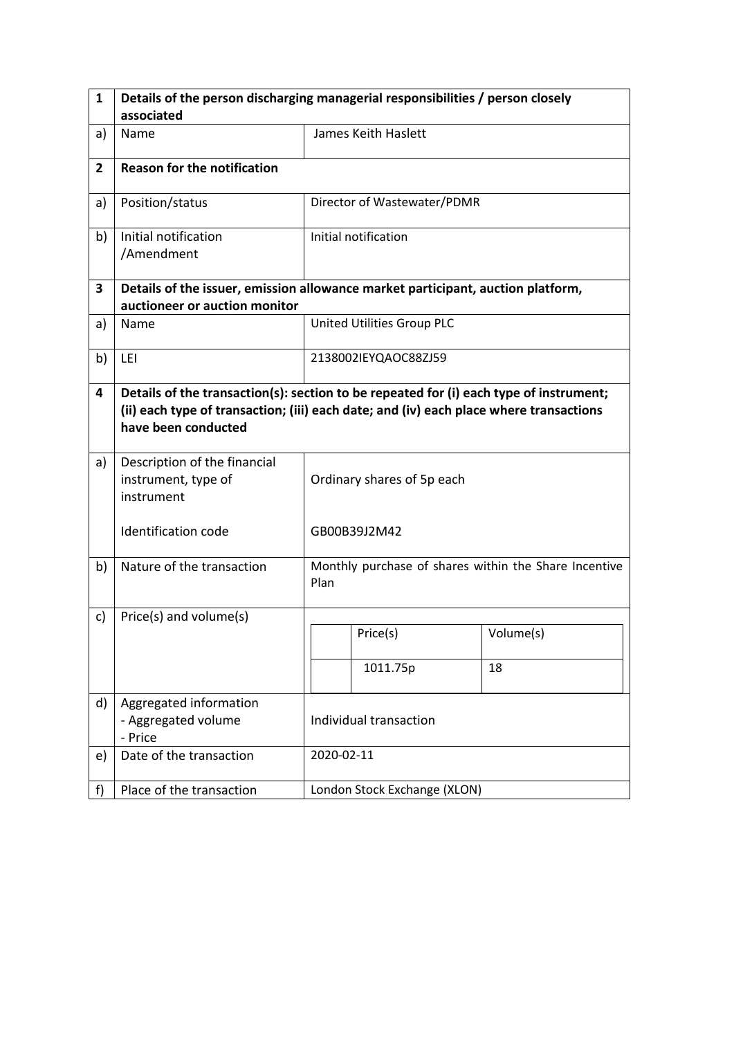| 1              | Details of the person discharging managerial responsibilities / person closely                                                                                                                          |                            |                                                       |           |  |
|----------------|---------------------------------------------------------------------------------------------------------------------------------------------------------------------------------------------------------|----------------------------|-------------------------------------------------------|-----------|--|
|                | associated                                                                                                                                                                                              |                            |                                                       |           |  |
| a)             | Name                                                                                                                                                                                                    |                            | James Keith Haslett                                   |           |  |
| $\overline{2}$ | <b>Reason for the notification</b>                                                                                                                                                                      |                            |                                                       |           |  |
| a)             | Position/status                                                                                                                                                                                         |                            | Director of Wastewater/PDMR                           |           |  |
| b)             | Initial notification<br>/Amendment                                                                                                                                                                      |                            | Initial notification                                  |           |  |
| 3              | Details of the issuer, emission allowance market participant, auction platform,                                                                                                                         |                            |                                                       |           |  |
|                | auctioneer or auction monitor                                                                                                                                                                           |                            |                                                       |           |  |
| a)             | Name                                                                                                                                                                                                    |                            | United Utilities Group PLC                            |           |  |
| b)             | LEI                                                                                                                                                                                                     | 2138002IEYQAOC88ZJ59       |                                                       |           |  |
| 4              | Details of the transaction(s): section to be repeated for (i) each type of instrument;<br>(ii) each type of transaction; (iii) each date; and (iv) each place where transactions<br>have been conducted |                            |                                                       |           |  |
| a)             | Description of the financial<br>instrument, type of<br>instrument                                                                                                                                       | Ordinary shares of 5p each |                                                       |           |  |
|                | <b>Identification code</b>                                                                                                                                                                              |                            | GB00B39J2M42                                          |           |  |
| b)             | Nature of the transaction                                                                                                                                                                               | Plan                       | Monthly purchase of shares within the Share Incentive |           |  |
| c)             | Price(s) and volume(s)                                                                                                                                                                                  |                            |                                                       |           |  |
|                |                                                                                                                                                                                                         |                            | Price(s)                                              | Volume(s) |  |
|                |                                                                                                                                                                                                         |                            | 1011.75p                                              | 18        |  |
| d)             | Aggregated information<br>- Aggregated volume<br>- Price                                                                                                                                                | Individual transaction     |                                                       |           |  |
| e)             | Date of the transaction                                                                                                                                                                                 |                            | 2020-02-11                                            |           |  |
| f)             | Place of the transaction                                                                                                                                                                                |                            | London Stock Exchange (XLON)                          |           |  |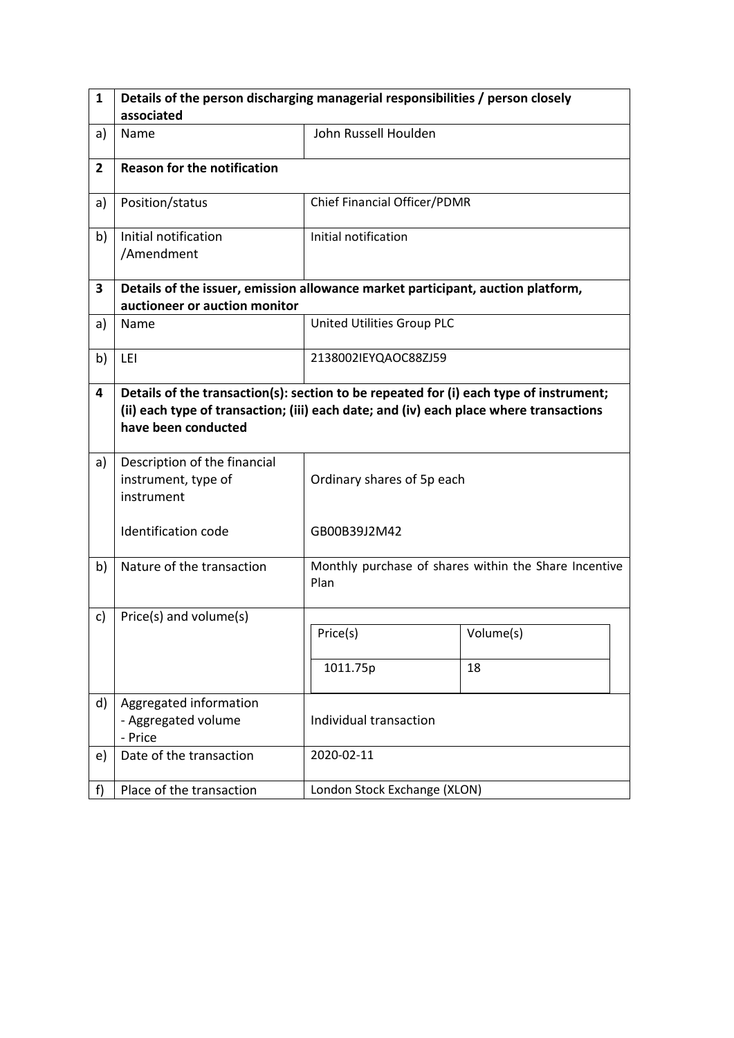| $\mathbf{1}$   | Details of the person discharging managerial responsibilities / person closely                                                                                                                          |                              |                                                       |  |  |  |
|----------------|---------------------------------------------------------------------------------------------------------------------------------------------------------------------------------------------------------|------------------------------|-------------------------------------------------------|--|--|--|
|                | associated                                                                                                                                                                                              |                              |                                                       |  |  |  |
| a)             | Name                                                                                                                                                                                                    | John Russell Houlden         |                                                       |  |  |  |
| $\overline{2}$ | <b>Reason for the notification</b>                                                                                                                                                                      |                              |                                                       |  |  |  |
| a)             | Position/status                                                                                                                                                                                         | Chief Financial Officer/PDMR |                                                       |  |  |  |
| b)             | Initial notification<br>/Amendment                                                                                                                                                                      | Initial notification         |                                                       |  |  |  |
| 3              | Details of the issuer, emission allowance market participant, auction platform,                                                                                                                         |                              |                                                       |  |  |  |
|                | auctioneer or auction monitor                                                                                                                                                                           |                              |                                                       |  |  |  |
| a)             | Name                                                                                                                                                                                                    | United Utilities Group PLC   |                                                       |  |  |  |
| b)             | LEI                                                                                                                                                                                                     | 2138002IEYQAOC88ZJ59         |                                                       |  |  |  |
| 4              | Details of the transaction(s): section to be repeated for (i) each type of instrument;<br>(ii) each type of transaction; (iii) each date; and (iv) each place where transactions<br>have been conducted |                              |                                                       |  |  |  |
| a)             | Description of the financial<br>instrument, type of<br>instrument                                                                                                                                       | Ordinary shares of 5p each   |                                                       |  |  |  |
|                | Identification code                                                                                                                                                                                     | GB00B39J2M42                 |                                                       |  |  |  |
| b)             | Nature of the transaction                                                                                                                                                                               | Plan                         | Monthly purchase of shares within the Share Incentive |  |  |  |
| c)             | Price(s) and volume(s)                                                                                                                                                                                  |                              |                                                       |  |  |  |
|                |                                                                                                                                                                                                         | Price(s)                     | Volume(s)                                             |  |  |  |
|                |                                                                                                                                                                                                         | 1011.75p                     | 18                                                    |  |  |  |
| d)             | Aggregated information<br>- Aggregated volume<br>- Price                                                                                                                                                | Individual transaction       |                                                       |  |  |  |
| e)             | Date of the transaction                                                                                                                                                                                 | 2020-02-11                   |                                                       |  |  |  |
| f              | Place of the transaction                                                                                                                                                                                | London Stock Exchange (XLON) |                                                       |  |  |  |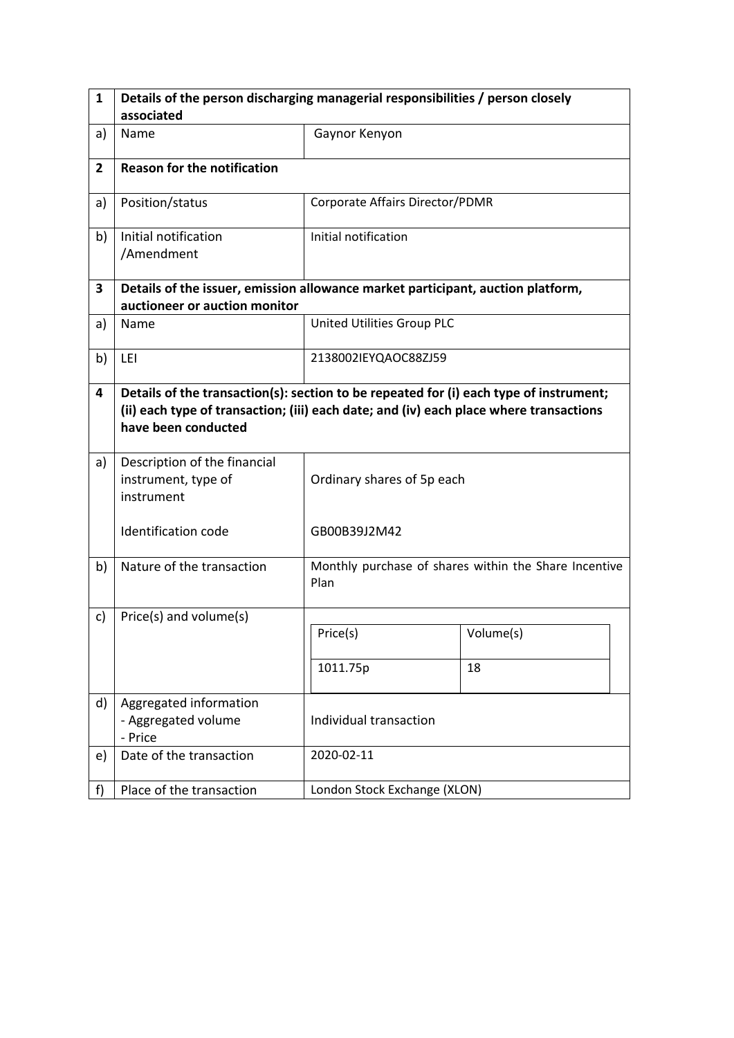| 1              | Details of the person discharging managerial responsibilities / person closely                                                                                                                          |                                 |                                                       |  |  |  |
|----------------|---------------------------------------------------------------------------------------------------------------------------------------------------------------------------------------------------------|---------------------------------|-------------------------------------------------------|--|--|--|
|                | associated                                                                                                                                                                                              |                                 |                                                       |  |  |  |
| a)             | Name                                                                                                                                                                                                    | Gaynor Kenyon                   |                                                       |  |  |  |
| $\overline{2}$ | <b>Reason for the notification</b>                                                                                                                                                                      |                                 |                                                       |  |  |  |
| a)             | Position/status                                                                                                                                                                                         | Corporate Affairs Director/PDMR |                                                       |  |  |  |
| b)             | Initial notification<br>/Amendment                                                                                                                                                                      | Initial notification            |                                                       |  |  |  |
| 3              | Details of the issuer, emission allowance market participant, auction platform,                                                                                                                         |                                 |                                                       |  |  |  |
|                | auctioneer or auction monitor                                                                                                                                                                           |                                 |                                                       |  |  |  |
| a)             | Name                                                                                                                                                                                                    | United Utilities Group PLC      |                                                       |  |  |  |
| b)             | LEI                                                                                                                                                                                                     | 2138002IEYQAOC88ZJ59            |                                                       |  |  |  |
| 4              | Details of the transaction(s): section to be repeated for (i) each type of instrument;<br>(ii) each type of transaction; (iii) each date; and (iv) each place where transactions<br>have been conducted |                                 |                                                       |  |  |  |
| a)             | Description of the financial<br>instrument, type of<br>instrument                                                                                                                                       | Ordinary shares of 5p each      |                                                       |  |  |  |
|                | <b>Identification code</b>                                                                                                                                                                              | GB00B39J2M42                    |                                                       |  |  |  |
| b)             | Nature of the transaction                                                                                                                                                                               | Plan                            | Monthly purchase of shares within the Share Incentive |  |  |  |
| c)             | Price(s) and volume(s)                                                                                                                                                                                  |                                 |                                                       |  |  |  |
|                |                                                                                                                                                                                                         | Price(s)                        | Volume(s)                                             |  |  |  |
|                |                                                                                                                                                                                                         | 1011.75p                        | 18                                                    |  |  |  |
| d)             | Aggregated information<br>- Aggregated volume<br>- Price                                                                                                                                                | Individual transaction          |                                                       |  |  |  |
| e)             | Date of the transaction                                                                                                                                                                                 | 2020-02-11                      |                                                       |  |  |  |
| f)             | Place of the transaction                                                                                                                                                                                | London Stock Exchange (XLON)    |                                                       |  |  |  |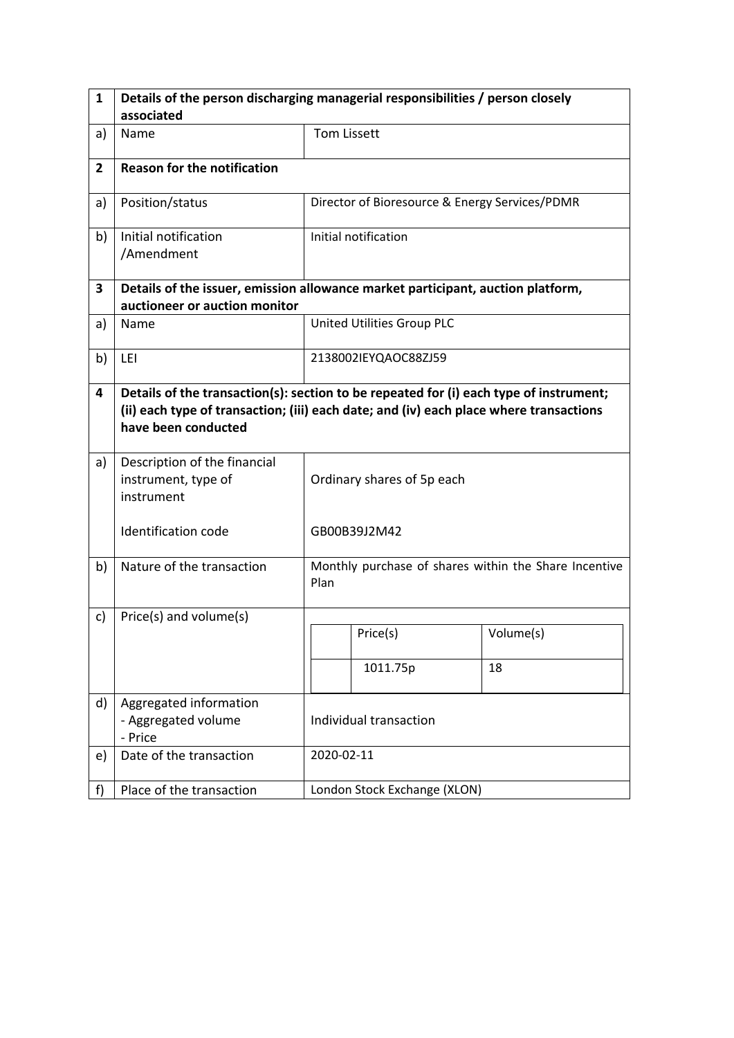| $\mathbf{1}$   | Details of the person discharging managerial responsibilities / person closely  |                                                                                                                                                                                  |                                                       |           |  |
|----------------|---------------------------------------------------------------------------------|----------------------------------------------------------------------------------------------------------------------------------------------------------------------------------|-------------------------------------------------------|-----------|--|
|                | associated                                                                      |                                                                                                                                                                                  |                                                       |           |  |
| a)             | Name                                                                            | <b>Tom Lissett</b>                                                                                                                                                               |                                                       |           |  |
| $\overline{2}$ | <b>Reason for the notification</b>                                              |                                                                                                                                                                                  |                                                       |           |  |
| a)             | Position/status                                                                 |                                                                                                                                                                                  | Director of Bioresource & Energy Services/PDMR        |           |  |
| b)             | Initial notification<br>/Amendment                                              |                                                                                                                                                                                  | Initial notification                                  |           |  |
| 3              | Details of the issuer, emission allowance market participant, auction platform, |                                                                                                                                                                                  |                                                       |           |  |
|                | auctioneer or auction monitor                                                   |                                                                                                                                                                                  |                                                       |           |  |
| a)             | Name                                                                            |                                                                                                                                                                                  | United Utilities Group PLC                            |           |  |
| b)             | LEI                                                                             |                                                                                                                                                                                  | 2138002IEYQAOC88ZJ59                                  |           |  |
| 4              | have been conducted                                                             | Details of the transaction(s): section to be repeated for (i) each type of instrument;<br>(ii) each type of transaction; (iii) each date; and (iv) each place where transactions |                                                       |           |  |
| a)             | Description of the financial<br>instrument, type of<br>instrument               | Ordinary shares of 5p each                                                                                                                                                       |                                                       |           |  |
|                | <b>Identification code</b>                                                      |                                                                                                                                                                                  | GB00B39J2M42                                          |           |  |
| b)             | Nature of the transaction                                                       | Plan                                                                                                                                                                             | Monthly purchase of shares within the Share Incentive |           |  |
| c)             | Price(s) and volume(s)                                                          |                                                                                                                                                                                  |                                                       |           |  |
|                |                                                                                 |                                                                                                                                                                                  | Price(s)                                              | Volume(s) |  |
|                |                                                                                 |                                                                                                                                                                                  | 1011.75p                                              | 18        |  |
| d)             | Aggregated information<br>- Aggregated volume<br>- Price                        | Individual transaction                                                                                                                                                           |                                                       |           |  |
| e)             | Date of the transaction                                                         |                                                                                                                                                                                  | 2020-02-11                                            |           |  |
| f              | Place of the transaction                                                        |                                                                                                                                                                                  | London Stock Exchange (XLON)                          |           |  |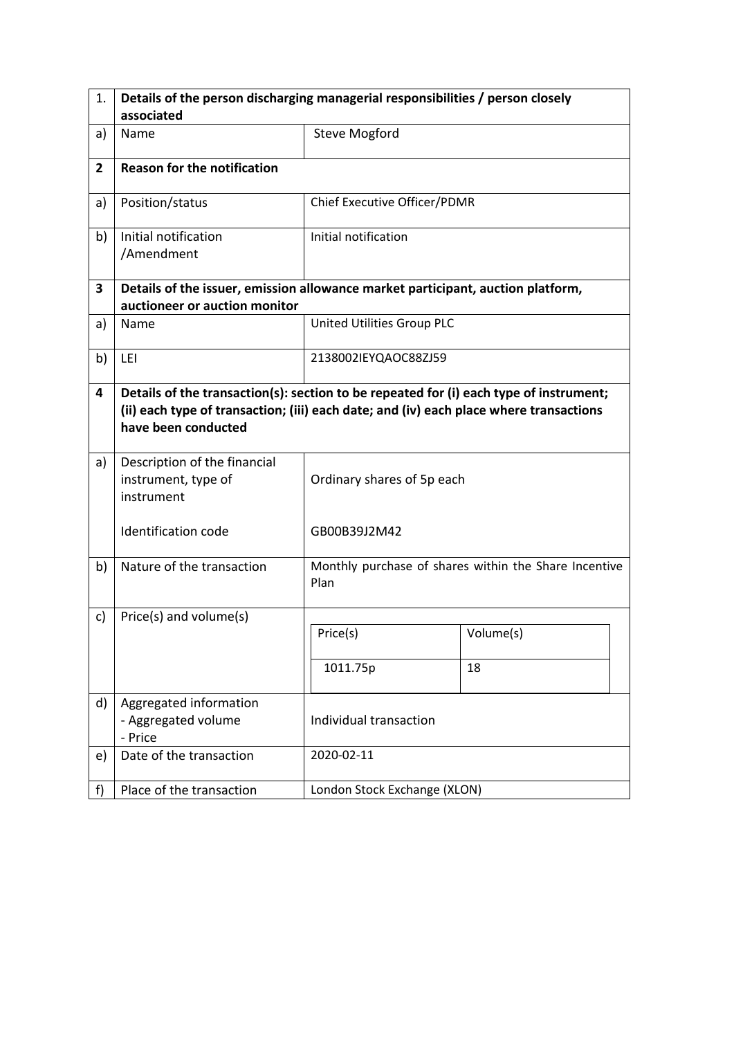| 1.             | Details of the person discharging managerial responsibilities / person closely                                                                                                                          |                              |                                                       |  |  |  |
|----------------|---------------------------------------------------------------------------------------------------------------------------------------------------------------------------------------------------------|------------------------------|-------------------------------------------------------|--|--|--|
|                | associated                                                                                                                                                                                              |                              |                                                       |  |  |  |
| a)             | Name                                                                                                                                                                                                    | <b>Steve Mogford</b>         |                                                       |  |  |  |
| $\overline{2}$ | <b>Reason for the notification</b>                                                                                                                                                                      |                              |                                                       |  |  |  |
| a)             | Position/status                                                                                                                                                                                         | Chief Executive Officer/PDMR |                                                       |  |  |  |
| b)             | Initial notification<br>/Amendment                                                                                                                                                                      | Initial notification         |                                                       |  |  |  |
| 3              | Details of the issuer, emission allowance market participant, auction platform,                                                                                                                         |                              |                                                       |  |  |  |
|                | auctioneer or auction monitor                                                                                                                                                                           |                              |                                                       |  |  |  |
| a)             | Name                                                                                                                                                                                                    | United Utilities Group PLC   |                                                       |  |  |  |
| b)             | LEI                                                                                                                                                                                                     | 2138002IEYQAOC88ZJ59         |                                                       |  |  |  |
| 4              | Details of the transaction(s): section to be repeated for (i) each type of instrument;<br>(ii) each type of transaction; (iii) each date; and (iv) each place where transactions<br>have been conducted |                              |                                                       |  |  |  |
| a)             | Description of the financial<br>instrument, type of<br>instrument                                                                                                                                       | Ordinary shares of 5p each   |                                                       |  |  |  |
|                | Identification code                                                                                                                                                                                     | GB00B39J2M42                 |                                                       |  |  |  |
| b)             | Nature of the transaction                                                                                                                                                                               | Plan                         | Monthly purchase of shares within the Share Incentive |  |  |  |
| c)             | Price(s) and volume(s)                                                                                                                                                                                  |                              |                                                       |  |  |  |
|                |                                                                                                                                                                                                         | Price(s)                     | Volume(s)                                             |  |  |  |
|                |                                                                                                                                                                                                         | 1011.75p                     | 18                                                    |  |  |  |
| d)             | Aggregated information<br>- Aggregated volume<br>- Price                                                                                                                                                | Individual transaction       |                                                       |  |  |  |
| e)             | Date of the transaction                                                                                                                                                                                 | 2020-02-11                   |                                                       |  |  |  |
| f              | Place of the transaction                                                                                                                                                                                | London Stock Exchange (XLON) |                                                       |  |  |  |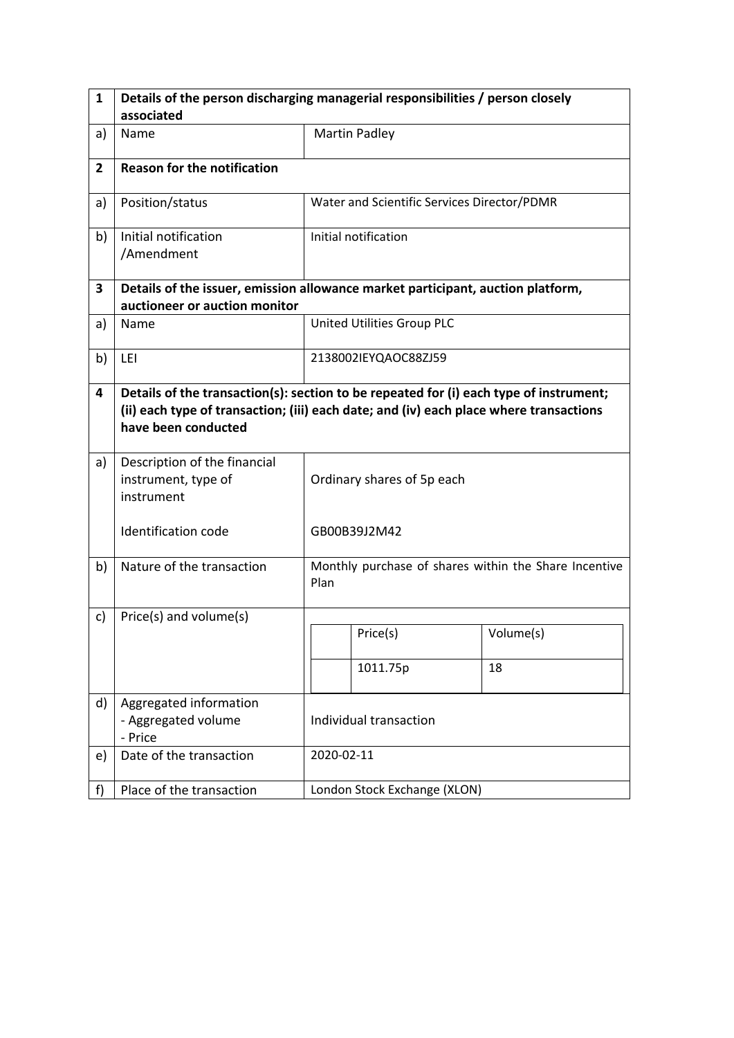| $\mathbf{1}$   | Details of the person discharging managerial responsibilities / person closely  |                                                                                                                                                                                  |                                                       |           |  |
|----------------|---------------------------------------------------------------------------------|----------------------------------------------------------------------------------------------------------------------------------------------------------------------------------|-------------------------------------------------------|-----------|--|
|                | associated                                                                      |                                                                                                                                                                                  |                                                       |           |  |
| a)             | Name                                                                            |                                                                                                                                                                                  | <b>Martin Padley</b>                                  |           |  |
| $\overline{2}$ | <b>Reason for the notification</b>                                              |                                                                                                                                                                                  |                                                       |           |  |
| a)             | Position/status                                                                 |                                                                                                                                                                                  | Water and Scientific Services Director/PDMR           |           |  |
| b)             | Initial notification<br>/Amendment                                              |                                                                                                                                                                                  | Initial notification                                  |           |  |
| 3              | Details of the issuer, emission allowance market participant, auction platform, |                                                                                                                                                                                  |                                                       |           |  |
|                | auctioneer or auction monitor                                                   |                                                                                                                                                                                  |                                                       |           |  |
| a)             | Name                                                                            |                                                                                                                                                                                  | United Utilities Group PLC                            |           |  |
| b)             | LEI                                                                             |                                                                                                                                                                                  | 2138002IEYQAOC88ZJ59                                  |           |  |
| 4              | have been conducted                                                             | Details of the transaction(s): section to be repeated for (i) each type of instrument;<br>(ii) each type of transaction; (iii) each date; and (iv) each place where transactions |                                                       |           |  |
| a)             | Description of the financial<br>instrument, type of<br>instrument               |                                                                                                                                                                                  | Ordinary shares of 5p each                            |           |  |
|                | <b>Identification code</b>                                                      |                                                                                                                                                                                  | GB00B39J2M42                                          |           |  |
| b)             | Nature of the transaction                                                       | Plan                                                                                                                                                                             | Monthly purchase of shares within the Share Incentive |           |  |
| c)             | Price(s) and volume(s)                                                          |                                                                                                                                                                                  |                                                       |           |  |
|                |                                                                                 |                                                                                                                                                                                  | Price(s)                                              | Volume(s) |  |
|                |                                                                                 |                                                                                                                                                                                  | 1011.75p                                              | 18        |  |
| d)             | Aggregated information<br>- Aggregated volume<br>- Price                        | Individual transaction                                                                                                                                                           |                                                       |           |  |
| e)             | Date of the transaction                                                         |                                                                                                                                                                                  | 2020-02-11                                            |           |  |
| f              | Place of the transaction                                                        |                                                                                                                                                                                  | London Stock Exchange (XLON)                          |           |  |